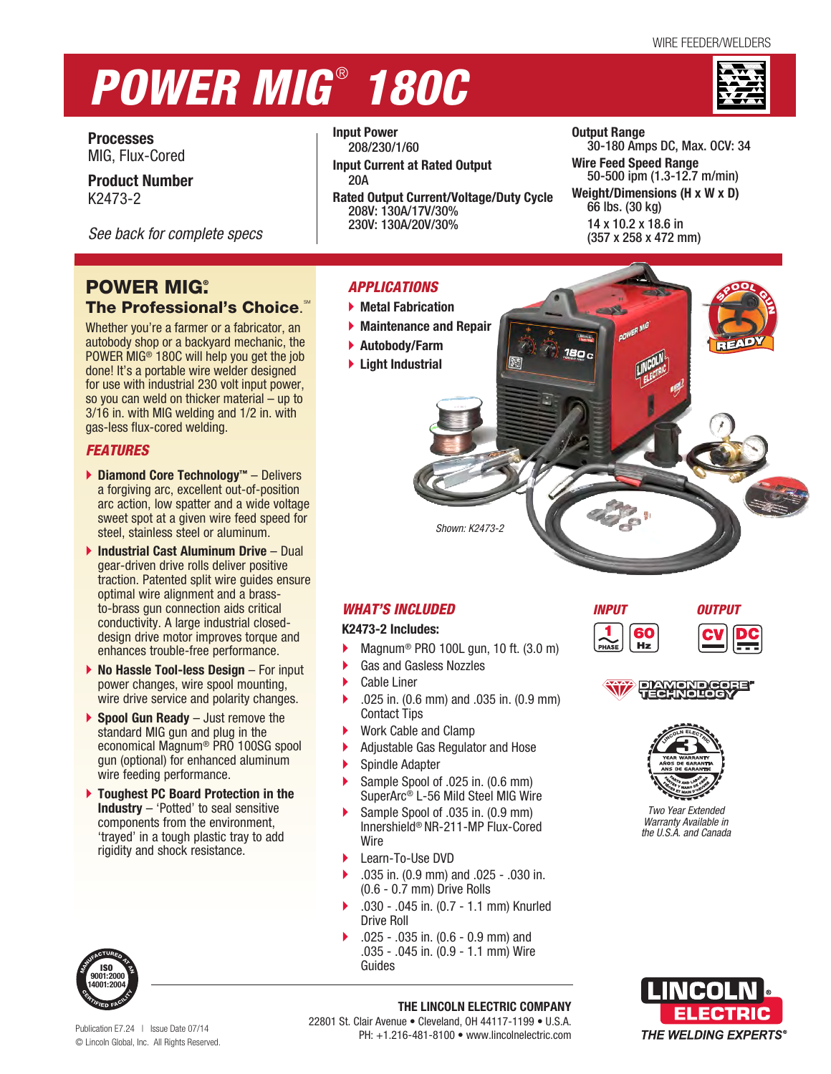# *POWER MIG* ®  *180C*



<sup>S</sup>POO<sup>L</sup> <sup>G</sup><sup>U</sup>

P

N

**Processes** MIG, Flux-Cored

**Product Number** K2473-2

*See back for complete specs*

# **POWER MIG.** The Professional's Choice.

Whether you're a farmer or a fabricator, an autobody shop or a backyard mechanic, the POWER MIG® 180C will help you get the job done! It's a portable wire welder designed for use with industrial 230 volt input power, so you can weld on thicker material – up to 3/16 in. with MIG welding and 1/2 in. with gas-less flux-cored welding.

### *FEATURES*

- **Diamond Core Technology™** Delivers a forgiving arc, excellent out-of-position arc action, low spatter and a wide voltage sweet spot at a given wire feed speed for steel, stainless steel or aluminum.
- **Industrial Cast Aluminum Drive**  Dual gear-driven drive rolls deliver positive traction. Patented split wire guides ensure optimal wire alignment and a brassto-brass gun connection aids critical conductivity. A large industrial closeddesign drive motor improves torque and enhances trouble-free performance.
- **No Hassle Tool-less Design** For input power changes, wire spool mounting, wire drive service and polarity changes.
- **Spool Gun Ready** Just remove the standard MIG gun and plug in the economical Magnum® PRO 100SG spool gun (optional) for enhanced aluminum wire feeding performance.
- **Toughest PC Board Protection in the Industry** – 'Potted' to seal sensitive components from the environment, 'trayed' in a tough plastic tray to add rigidity and shock resistance.



**Input Power** 208/230/1/60

- **Input Current at Rated Output** 20A
- **Rated Output Current/Voltage/Duty Cycle** 208V: 130A/17V/30% 230V: 130A/20V/30%

#### **Output Range** 30-180 Amps DC, Max. OCV: 34 **Wire Feed Speed Range** 50-500 ipm (1.3-12.7 m/min) **Weight/Dimensions (H x W x D)** 66 lbs. (30 kg) 14 x 10.2 x 18.6 in (357 x 258 x 472 mm)

## *APPLICATIONS*

- **Metal Fabrication**
- **Maintenance and Repair**
- **Autobody/Farm**
- **Light Industrial**

*WHAT'S INCLUDED* **K2473-2 Includes:**

Cable Liner

Contact Tips

Spindle Adapter

Learn-To-Use DVD

(0.6 - 0.7 mm) Drive Rolls

Wire

Drive Roll

Guides

Gas and Gasless Nozzles

Work Cable and Clamp

Magnum® PRO 100L gun, 10 ft. (3.0 m)

*Shown: K2473-2*

.025 in. (0.6 mm) and .035 in. (0.9 mm)

Adjustable Gas Regulator and Hose

.035 in. (0.9 mm) and .025 - .030 in.

.030 - .045 in. (0.7 - 1.1 mm) Knurled

 .025 - .035 in. (0.6 - 0.9 mm) and .035 - .045 in. (0.9 - 1.1 mm) Wire

▶ Sample Spool of .025 in. (0.6 mm) SuperArc® L-56 Mild Steel MIG Wire Sample Spool of .035 in. (0.9 mm) Innershield® NR-211-MP Flux-Cored



 $Hz$ 







*Two Year Extended Warranty Available in the U.S.A. and Canada*

**THE LINCOLN ELECTRIC COMPANY** 22801 St. Clair Avenue • Cleveland, OH 44117-1199 • U.S.A. PH: +1.216-481-8100 • www.lincolnelectric.com



Publication E7.24 | Issue Date 07/14 © Lincoln Global, Inc. All Rights Reserved.